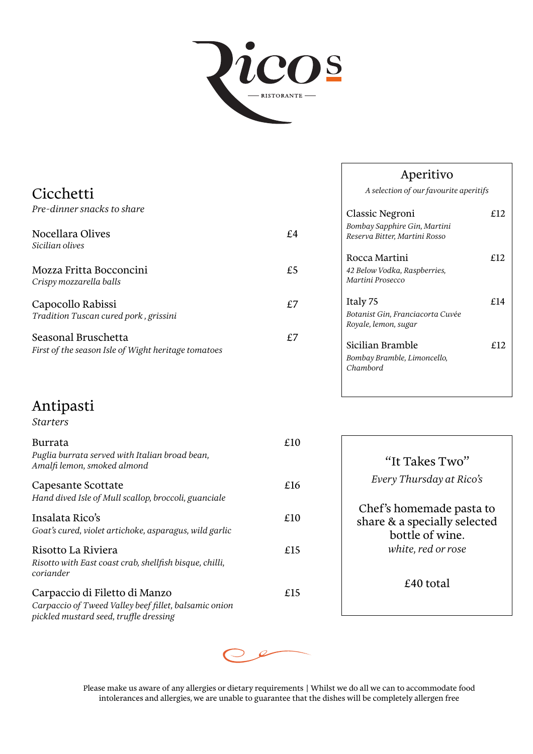

| Cicchetti<br>Pre-dinner snacks to share                                    |    |
|----------------------------------------------------------------------------|----|
| Nocellara Olives<br>Sicilian olives                                        | £4 |
| Mozza Fritta Bocconcini<br>Crispy mozzarella balls                         | £5 |
| Capocollo Rabissi<br>Tradition Tuscan cured pork, grissini                 | £7 |
| Seasonal Bruschetta<br>First of the season Isle of Wight heritage tomatoes | £7 |

# Antipasti

#### *Starters*

| Burrata<br>Puglia burrata served with Italian broad bean,<br>Amalfi lemon, smoked almond                                         | £10 |
|----------------------------------------------------------------------------------------------------------------------------------|-----|
| Capesante Scottate<br>Hand dived Isle of Mull scallop, broccoli, guanciale                                                       | £16 |
| Insalata Rico's<br>Goat's cured, violet artichoke, asparagus, wild garlic                                                        | £10 |
| Risotto La Riviera<br>Risotto with East coast crab, shellfish bisque, chilli,<br>coriander                                       | £15 |
| Carpaccio di Filetto di Manzo<br>Carpaccio of Tweed Valley beef fillet, balsamic onion<br>pickled mustard seed, truffle dressing | £15 |

| Aperitivo |
|-----------|
|-----------|

*A selection of our favourite aperitifs*

| Classic Negroni<br>Bombay Sapphire Gin, Martini<br>Reserva Bitter, Martini Rosso | £12 |
|----------------------------------------------------------------------------------|-----|
| Rocca Martini<br>42 Below Vodka, Raspberries,<br>Martini Prosecco                | £12 |
| Italy 75<br>Botanist Gin, Franciacorta Cuvée<br>Royale, lemon, sugar             | £14 |
| Sicilian Bramble<br>Bombay Bramble, Limoncello,<br>Chambord                      | £12 |

| "It Takes Two"<br>Every Thursday at Rico's                                                        |
|---------------------------------------------------------------------------------------------------|
| Chef's homemade pasta to<br>share & a specially selected<br>bottle of wine.<br>white, red or rose |
| £40 total                                                                                         |



Please make us aware of any allergies or dietary requirements | Whilst we do all we can to accommodate food intolerances and allergies, we are unable to guarantee that the dishes will be completely allergen free